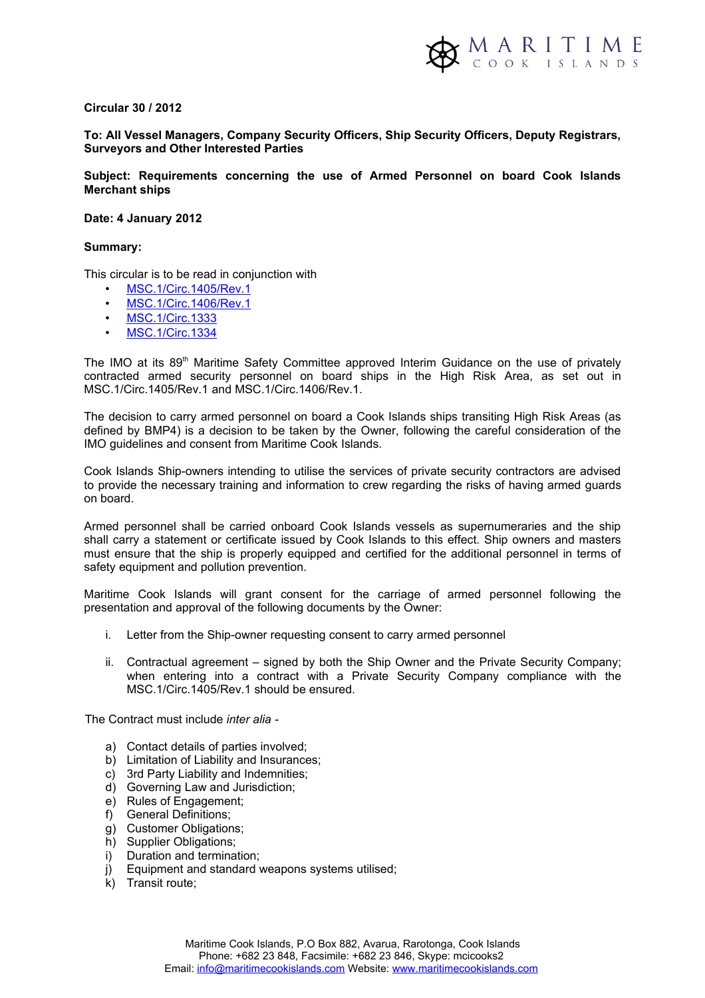### **Circular 30 / 2012**

## **To: All Vessel Managers, Company Security Officers, Ship Security Officers, Deputy Registrars, Surveyors and Other Interested Parties**

**Subject: Requirements concerning the use of Armed Personnel on board Cook Islands Merchant ships**

### **Date: 4 January 2012**

### **Summary:**

This circular is to be read in conjunction with

- • [MSC.1/Circ.1405/Rev.1](http://www.imo.org/MediaCentre/HotTopics/piracy/Documents/1405-rev-1.pdf)
- [MSC.1/Circ.1406/Rev.1](http://www.imo.org/MediaCentre/HotTopics/piracy/Documents/1406-rev-1.pdf)
- • [MSC.1/Circ.1333](http://www.marad.dot.gov/documents/MSC1_Circ1333.pdf)
- • [MSC.1/Circ.1334](http://www.marad.dot.gov/documents/MSC1_Circ1334.pdf)

The IMO at its 89<sup>th</sup> Maritime Safety Committee approved Interim Guidance on the use of privately contracted armed security personnel on board ships in the High Risk Area, as set out in MSC.1/Circ.1405/Rev.1 and MSC.1/Circ.1406/Rev.1.

The decision to carry armed personnel on board a Cook Islands ships transiting High Risk Areas (as defined by BMP4) is a decision to be taken by the Owner, following the careful consideration of the IMO guidelines and consent from Maritime Cook Islands.

Cook Islands Ship-owners intending to utilise the services of private security contractors are advised to provide the necessary training and information to crew regarding the risks of having armed guards on board.

Armed personnel shall be carried onboard Cook Islands vessels as supernumeraries and the ship shall carry a statement or certificate issued by Cook Islands to this effect. Ship owners and masters must ensure that the ship is properly equipped and certified for the additional personnel in terms of safety equipment and pollution prevention.

Maritime Cook Islands will grant consent for the carriage of armed personnel following the presentation and approval of the following documents by the Owner:

- i. Letter from the Ship-owner requesting consent to carry armed personnel
- ii. Contractual agreement signed by both the Ship Owner and the Private Security Company; when entering into a contract with a Private Security Company compliance with the MSC.1/Circ.1405/Rev.1 should be ensured.

The Contract must include *inter alia -*

- a) Contact details of parties involved;
- b) Limitation of Liability and Insurances;
- c) 3rd Party Liability and Indemnities;
- d) Governing Law and Jurisdiction;
- e) Rules of Engagement;
- f) General Definitions;
- g) Customer Obligations;
- h) Supplier Obligations;
- i) Duration and termination;
- j) Equipment and standard weapons systems utilised;
- k) Transit route;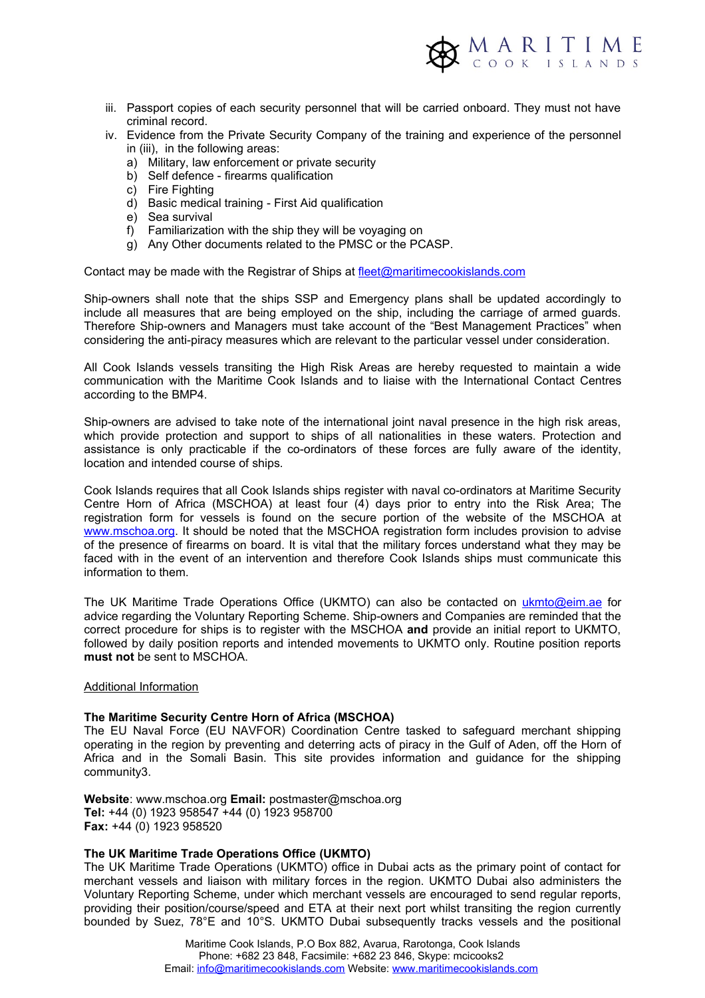

- iii. Passport copies of each security personnel that will be carried onboard. They must not have criminal record.
- iv. Evidence from the Private Security Company of the training and experience of the personnel in (iii), in the following areas:
	- a) Military, law enforcement or private security
	- b) Self defence firearms qualification
	- c) Fire Fighting
	- d) Basic medical training First Aid qualification
	- e) Sea survival
	- f) Familiarization with the ship they will be voyaging on
	- g) Any Other documents related to the PMSC or the PCASP.

Contact may be made with the Registrar of Ships at [fleet@maritimecookislands.com](mailto:fleet@maritimecookislands.com) 

Ship-owners shall note that the ships SSP and Emergency plans shall be updated accordingly to include all measures that are being employed on the ship, including the carriage of armed guards. Therefore Ship-owners and Managers must take account of the "Best Management Practices" when considering the anti-piracy measures which are relevant to the particular vessel under consideration.

All Cook Islands vessels transiting the High Risk Areas are hereby requested to maintain a wide communication with the Maritime Cook Islands and to liaise with the International Contact Centres according to the BMP4.

Ship-owners are advised to take note of the international joint naval presence in the high risk areas, which provide protection and support to ships of all nationalities in these waters. Protection and assistance is only practicable if the co-ordinators of these forces are fully aware of the identity, location and intended course of ships.

Cook Islands requires that all Cook Islands ships register with naval co-ordinators at Maritime Security Centre Horn of Africa (MSCHOA) at least four (4) days prior to entry into the Risk Area; The registration form for vessels is found on the secure portion of the website of the MSCHOA at [www.mschoa.org.](http://www.mschoa.org/) It should be noted that the MSCHOA registration form includes provision to advise of the presence of firearms on board. It is vital that the military forces understand what they may be faced with in the event of an intervention and therefore Cook Islands ships must communicate this information to them.

The UK Maritime Trade Operations Office (UKMTO) can also be contacted on [ukmto@eim.ae](mailto:ukmto@eim.ae) for advice regarding the Voluntary Reporting Scheme. Ship-owners and Companies are reminded that the correct procedure for ships is to register with the MSCHOA **and** provide an initial report to UKMTO, followed by daily position reports and intended movements to UKMTO only. Routine position reports **must not** be sent to MSCHOA.

#### Additional Information

#### **The Maritime Security Centre Horn of Africa (MSCHOA)**

The EU Naval Force (EU NAVFOR) Coordination Centre tasked to safeguard merchant shipping operating in the region by preventing and deterring acts of piracy in the Gulf of Aden, off the Horn of Africa and in the Somali Basin. This site provides information and guidance for the shipping community3.

**Website**: www.mschoa.org **Email:** postmaster@mschoa.org **Tel:** +44 (0) 1923 958547 +44 (0) 1923 958700 **Fax:** +44 (0) 1923 958520

### **The UK Maritime Trade Operations Office (UKMTO)**

The UK Maritime Trade Operations (UKMTO) office in Dubai acts as the primary point of contact for merchant vessels and liaison with military forces in the region. UKMTO Dubai also administers the Voluntary Reporting Scheme, under which merchant vessels are encouraged to send regular reports, providing their position/course/speed and ETA at their next port whilst transiting the region currently bounded by Suez, 78°E and 10°S. UKMTO Dubai subsequently tracks vessels and the positional